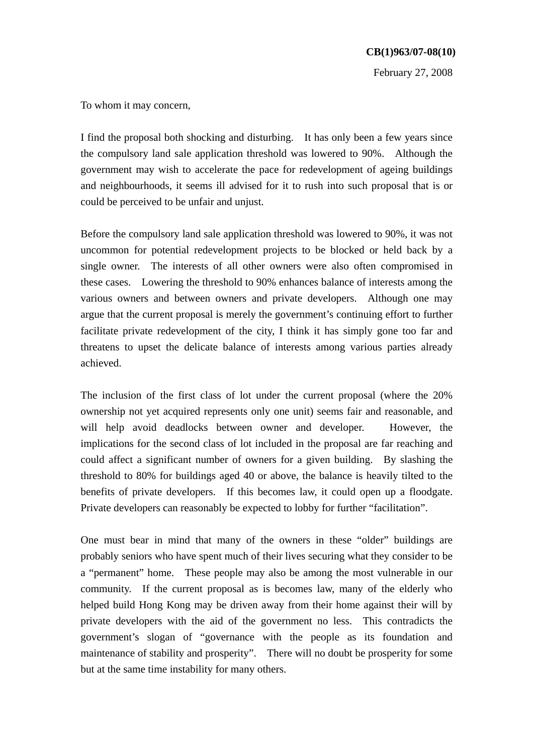February 27, 2008

To whom it may concern,

I find the proposal both shocking and disturbing. It has only been a few years since the compulsory land sale application threshold was lowered to 90%. Although the government may wish to accelerate the pace for redevelopment of ageing buildings and neighbourhoods, it seems ill advised for it to rush into such proposal that is or could be perceived to be unfair and unjust.

Before the compulsory land sale application threshold was lowered to 90%, it was not uncommon for potential redevelopment projects to be blocked or held back by a single owner. The interests of all other owners were also often compromised in these cases. Lowering the threshold to 90% enhances balance of interests among the various owners and between owners and private developers. Although one may argue that the current proposal is merely the government's continuing effort to further facilitate private redevelopment of the city, I think it has simply gone too far and threatens to upset the delicate balance of interests among various parties already achieved.

The inclusion of the first class of lot under the current proposal (where the 20% ownership not yet acquired represents only one unit) seems fair and reasonable, and will help avoid deadlocks between owner and developer. However, the implications for the second class of lot included in the proposal are far reaching and could affect a significant number of owners for a given building. By slashing the threshold to 80% for buildings aged 40 or above, the balance is heavily tilted to the benefits of private developers. If this becomes law, it could open up a floodgate. Private developers can reasonably be expected to lobby for further "facilitation".

One must bear in mind that many of the owners in these "older" buildings are probably seniors who have spent much of their lives securing what they consider to be a "permanent" home. These people may also be among the most vulnerable in our community. If the current proposal as is becomes law, many of the elderly who helped build Hong Kong may be driven away from their home against their will by private developers with the aid of the government no less. This contradicts the government's slogan of "governance with the people as its foundation and maintenance of stability and prosperity". There will no doubt be prosperity for some but at the same time instability for many others.